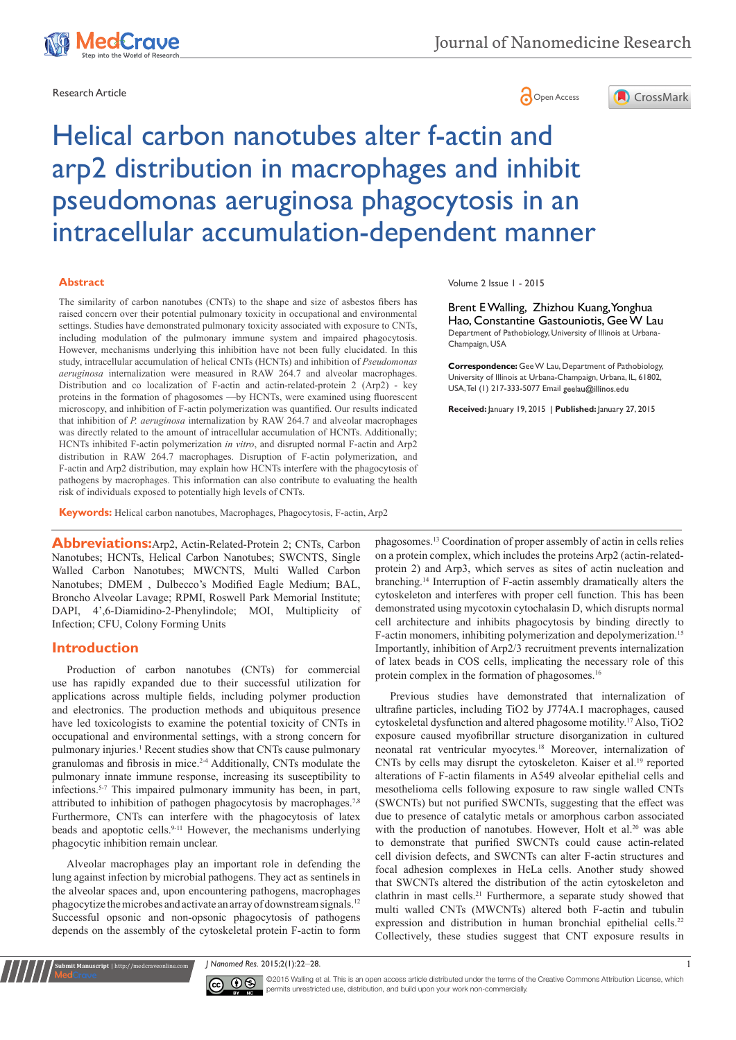



# Helical carbon nanotubes alter f-actin and arp2 distribution in macrophages and inhibit pseudomonas aeruginosa phagocytosis in an intracellular accumulation-dependent manner

#### **Abstract**

The similarity of carbon nanotubes (CNTs) to the shape and size of asbestos fibers has raised concern over their potential pulmonary toxicity in occupational and environmental settings. Studies have demonstrated pulmonary toxicity associated with exposure to CNTs, including modulation of the pulmonary immune system and impaired phagocytosis. However, mechanisms underlying this inhibition have not been fully elucidated. In this study, intracellular accumulation of helical CNTs (HCNTs) and inhibition of *Pseudomonas aeruginosa* internalization were measured in RAW 264.7 and alveolar macrophages. Distribution and co localization of F-actin and actin-related-protein 2 (Arp2) - key proteins in the formation of phagosomes —by HCNTs, were examined using fluorescent microscopy, and inhibition of F-actin polymerization was quantified. Our results indicated that inhibition of *P. aeruginosa* internalization by RAW 264.7 and alveolar macrophages was directly related to the amount of intracellular accumulation of HCNTs. Additionally; HCNTs inhibited F-actin polymerization *in vitro*, and disrupted normal F-actin and Arp2 distribution in RAW 264.7 macrophages. Disruption of F-actin polymerization, and F-actin and Arp2 distribution, may explain how HCNTs interfere with the phagocytosis of pathogens by macrophages. This information can also contribute to evaluating the health risk of individuals exposed to potentially high levels of CNTs.

**Keywords:** Helical carbon nanotubes, Macrophages, Phagocytosis, F-actin, Arp2

**Abbreviations:**Arp2, Actin-Related-Protein 2; CNTs, Carbon Nanotubes; HCNTs, Helical Carbon Nanotubes; SWCNTS, Single Walled Carbon Nanotubes; MWCNTS, Multi Walled Carbon Nanotubes; DMEM , Dulbecco's Modified Eagle Medium; BAL, Broncho Alveolar Lavage; RPMI, Roswell Park Memorial Institute; DAPI, 4',6-Diamidino-2-Phenylindole; MOI, Multiplicity of Infection; CFU, Colony Forming Units

#### **Introduction**

Production of carbon nanotubes (CNTs) for commercial use has rapidly expanded due to their successful utilization for applications across multiple fields, including polymer production and electronics. The production methods and ubiquitous presence have led toxicologists to examine the potential toxicity of CNTs in occupational and environmental settings, with a strong concern for pulmonary injuries.<sup>1</sup> Recent studies show that CNTs cause pulmonary granulomas and fibrosis in mice.2-4 Additionally, CNTs modulate the pulmonary innate immune response, increasing its susceptibility to infections.5-7 This impaired pulmonary immunity has been, in part, attributed to inhibition of pathogen phagocytosis by macrophages.<sup>7,8</sup> Furthermore, CNTs can interfere with the phagocytosis of latex beads and apoptotic cells.9-11 However, the mechanisms underlying phagocytic inhibition remain unclear.

Alveolar macrophages play an important role in defending the lung against infection by microbial pathogens. They act as sentinels in the alveolar spaces and, upon encountering pathogens, macrophages phagocytize the microbes and activate an array of downstream signals.<sup>12</sup> Successful opsonic and non-opsonic phagocytosis of pathogens depends on the assembly of the cytoskeletal protein F-actin to form

**Kubmit Manuscript** | http://medcraveonline.com

Volume 2 Issue 1 - 2015

Brent E Walling, Zhizhou Kuang, Yonghua Hao, Constantine Gastouniotis, Gee W Lau Department of Pathobiology, University of Illinois at Urbana-Champaign, USA

**Correspondence:** Gee W Lau, Department of Pathobiology, University of Illinois at Urbana-Champaign, Urbana, IL, 61802, USA, Tel (1) 217-333-5077 Email geelau@illinos.edu

**Received:** January 19, 2015 | **Published:** January 27, 2015

phagosomes.<sup>13</sup> Coordination of proper assembly of actin in cells relies on a protein complex, which includes the proteins Arp2 (actin-relatedprotein 2) and Arp3, which serves as sites of actin nucleation and branching.14 Interruption of F-actin assembly dramatically alters the cytoskeleton and interferes with proper cell function. This has been demonstrated using mycotoxin cytochalasin D, which disrupts normal cell architecture and inhibits phagocytosis by binding directly to F-actin monomers, inhibiting polymerization and depolymerization.<sup>15</sup> Importantly, inhibition of Arp2/3 recruitment prevents internalization of latex beads in COS cells, implicating the necessary role of this protein complex in the formation of phagosomes.<sup>16</sup>

Previous studies have demonstrated that internalization of ultrafine particles, including TiO2 by J774A.1 macrophages, caused cytoskeletal dysfunction and altered phagosome motility.<sup>17</sup> Also, TiO2 exposure caused myofibrillar structure disorganization in cultured neonatal rat ventricular myocytes.<sup>18</sup> Moreover, internalization of CNTs by cells may disrupt the cytoskeleton. Kaiser et al.<sup>19</sup> reported alterations of F-actin filaments in A549 alveolar epithelial cells and mesothelioma cells following exposure to raw single walled CNTs (SWCNTs) but not purified SWCNTs, suggesting that the effect was due to presence of catalytic metals or amorphous carbon associated with the production of nanotubes. However, Holt et al.<sup>20</sup> was able to demonstrate that purified SWCNTs could cause actin-related cell division defects, and SWCNTs can alter F-actin structures and focal adhesion complexes in HeLa cells. Another study showed that SWCNTs altered the distribution of the actin cytoskeleton and clathrin in mast cells.<sup>21</sup> Furthermore, a separate study showed that multi walled CNTs (MWCNTs) altered both F-actin and tubulin expression and distribution in human bronchial epithelial cells.<sup>22</sup> Collectively, these studies suggest that CNT exposure results in

*J Nanomed Res.* 2015;2(1):22‒28. 1



CC **0 S** © 2015 Walling et al. This is an open access article distributed under the terms of the Creative Commons Attribution License, which permits unrestricted use, distribution, and build upon your work non-commercially.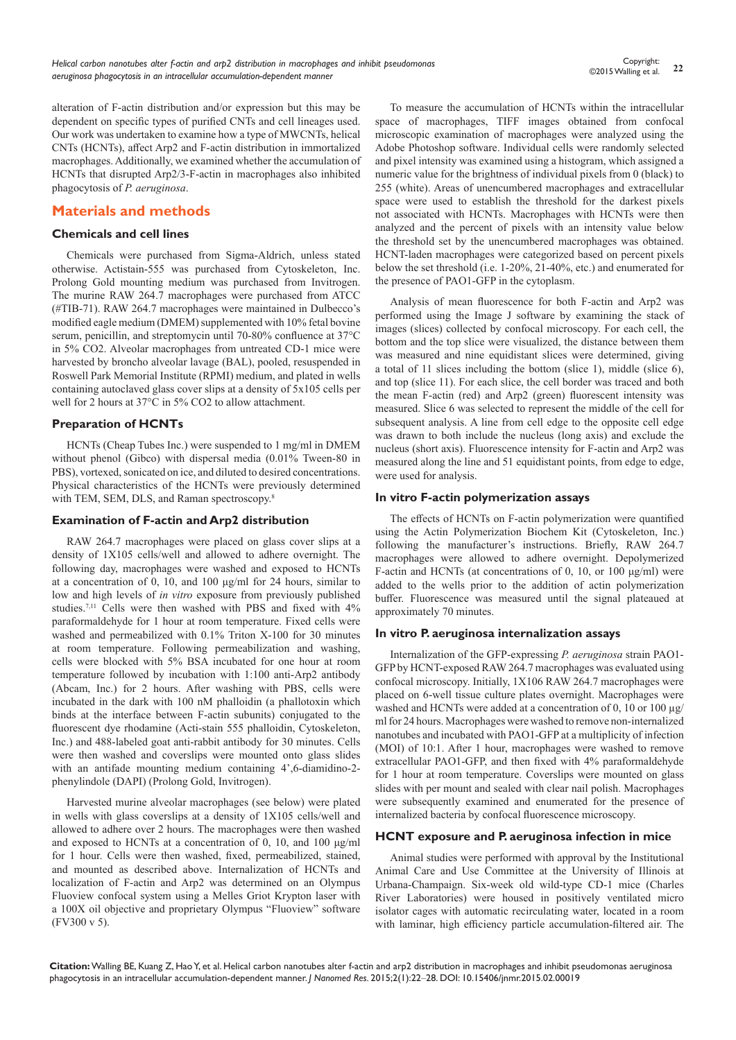alteration of F-actin distribution and/or expression but this may be dependent on specific types of purified CNTs and cell lineages used. Our work was undertaken to examine how a type of MWCNTs, helical CNTs (HCNTs), affect Arp2 and F-actin distribution in immortalized macrophages. Additionally, we examined whether the accumulation of HCNTs that disrupted Arp2/3-F-actin in macrophages also inhibited phagocytosis of *P. aeruginosa*.

# **Materials and methods**

#### **Chemicals and cell lines**

Chemicals were purchased from Sigma-Aldrich, unless stated otherwise. Actistain-555 was purchased from Cytoskeleton, Inc. Prolong Gold mounting medium was purchased from Invitrogen. The murine RAW 264.7 macrophages were purchased from ATCC (#TIB-71). RAW 264.7 macrophages were maintained in Dulbecco's modified eagle medium (DMEM) supplemented with 10% fetal bovine serum, penicillin, and streptomycin until 70-80% confluence at 37°C in 5% CO2. Alveolar macrophages from untreated CD-1 mice were harvested by broncho alveolar lavage (BAL), pooled, resuspended in Roswell Park Memorial Institute (RPMI) medium, and plated in wells containing autoclaved glass cover slips at a density of 5x105 cells per well for 2 hours at 37°C in 5% CO2 to allow attachment.

### **Preparation of HCNTs**

HCNTs (Cheap Tubes Inc.) were suspended to 1 mg/ml in DMEM without phenol (Gibco) with dispersal media (0.01% Tween-80 in PBS), vortexed, sonicated on ice, and diluted to desired concentrations. Physical characteristics of the HCNTs were previously determined with TEM, SEM, DLS, and Raman spectroscopy.<sup>8</sup>

#### **Examination of F-actin and Arp2 distribution**

RAW 264.7 macrophages were placed on glass cover slips at a density of 1X105 cells/well and allowed to adhere overnight. The following day, macrophages were washed and exposed to HCNTs at a concentration of 0, 10, and 100 μg/ml for 24 hours, similar to low and high levels of *in vitro* exposure from previously published studies.7,11 Cells were then washed with PBS and fixed with 4% paraformaldehyde for 1 hour at room temperature. Fixed cells were washed and permeabilized with 0.1% Triton X-100 for 30 minutes at room temperature. Following permeabilization and washing, cells were blocked with 5% BSA incubated for one hour at room temperature followed by incubation with 1:100 anti-Arp2 antibody (Abcam, Inc.) for 2 hours. After washing with PBS, cells were incubated in the dark with 100 nM phalloidin (a phallotoxin which binds at the interface between F-actin subunits) conjugated to the fluorescent dye rhodamine (Acti-stain 555 phalloidin, Cytoskeleton, Inc.) and 488-labeled goat anti-rabbit antibody for 30 minutes. Cells were then washed and coverslips were mounted onto glass slides with an antifade mounting medium containing 4',6-diamidino-2 phenylindole (DAPI) (Prolong Gold, Invitrogen).

Harvested murine alveolar macrophages (see below) were plated in wells with glass coverslips at a density of 1X105 cells/well and allowed to adhere over 2 hours. The macrophages were then washed and exposed to HCNTs at a concentration of 0, 10, and 100 μg/ml for 1 hour. Cells were then washed, fixed, permeabilized, stained, and mounted as described above. Internalization of HCNTs and localization of F-actin and Arp2 was determined on an Olympus Fluoview confocal system using a Melles Griot Krypton laser with a 100X oil objective and proprietary Olympus "Fluoview" software (FV300 v 5).

To measure the accumulation of HCNTs within the intracellular space of macrophages, TIFF images obtained from confocal microscopic examination of macrophages were analyzed using the Adobe Photoshop software. Individual cells were randomly selected and pixel intensity was examined using a histogram, which assigned a numeric value for the brightness of individual pixels from 0 (black) to 255 (white). Areas of unencumbered macrophages and extracellular space were used to establish the threshold for the darkest pixels not associated with HCNTs. Macrophages with HCNTs were then analyzed and the percent of pixels with an intensity value below the threshold set by the unencumbered macrophages was obtained. HCNT-laden macrophages were categorized based on percent pixels below the set threshold (i.e. 1-20%, 21-40%, etc.) and enumerated for the presence of PAO1-GFP in the cytoplasm.

Analysis of mean fluorescence for both F-actin and Arp2 was performed using the Image J software by examining the stack of images (slices) collected by confocal microscopy. For each cell, the bottom and the top slice were visualized, the distance between them was measured and nine equidistant slices were determined, giving a total of 11 slices including the bottom (slice 1), middle (slice 6), and top (slice 11). For each slice, the cell border was traced and both the mean F-actin (red) and Arp2 (green) fluorescent intensity was measured. Slice 6 was selected to represent the middle of the cell for subsequent analysis. A line from cell edge to the opposite cell edge was drawn to both include the nucleus (long axis) and exclude the nucleus (short axis). Fluorescence intensity for F-actin and Arp2 was measured along the line and 51 equidistant points, from edge to edge, were used for analysis.

#### **In vitro F-actin polymerization assays**

The effects of HCNTs on F-actin polymerization were quantified using the Actin Polymerization Biochem Kit (Cytoskeleton, Inc.) following the manufacturer's instructions. Briefly, RAW 264.7 macrophages were allowed to adhere overnight. Depolymerized F-actin and HCNTs (at concentrations of 0, 10, or 100  $\mu$ g/ml) were added to the wells prior to the addition of actin polymerization buffer. Fluorescence was measured until the signal plateaued at approximately 70 minutes.

#### **In vitro P. aeruginosa internalization assays**

Internalization of the GFP-expressing *P. aeruginosa* strain PAO1- GFP by HCNT-exposed RAW 264.7 macrophages was evaluated using confocal microscopy. Initially, 1X106 RAW 264.7 macrophages were placed on 6-well tissue culture plates overnight. Macrophages were washed and HCNTs were added at a concentration of 0, 10 or 100  $\mu$ g/ ml for 24 hours. Macrophages were washed to remove non-internalized nanotubes and incubated with PAO1-GFP at a multiplicity of infection (MOI) of 10:1. After 1 hour, macrophages were washed to remove extracellular PAO1-GFP, and then fixed with 4% paraformaldehyde for 1 hour at room temperature. Coverslips were mounted on glass slides with per mount and sealed with clear nail polish. Macrophages were subsequently examined and enumerated for the presence of internalized bacteria by confocal fluorescence microscopy.

### **HCNT exposure and P. aeruginosa infection in mice**

Animal studies were performed with approval by the Institutional Animal Care and Use Committee at the University of Illinois at Urbana-Champaign. Six-week old wild-type CD-1 mice (Charles River Laboratories) were housed in positively ventilated micro isolator cages with automatic recirculating water, located in a room with laminar, high efficiency particle accumulation-filtered air. The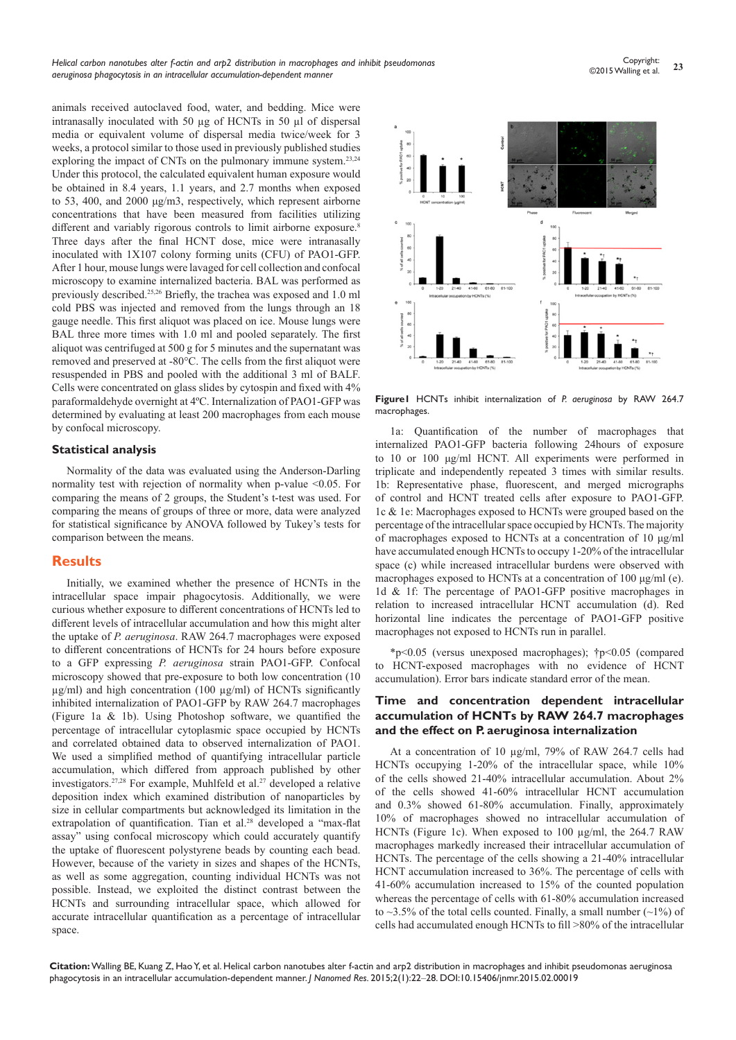animals received autoclaved food, water, and bedding. Mice were intranasally inoculated with 50 µg of HCNTs in 50 µl of dispersal media or equivalent volume of dispersal media twice/week for 3 weeks, a protocol similar to those used in previously published studies exploring the impact of CNTs on the pulmonary immune system.<sup>23,24</sup> Under this protocol, the calculated equivalent human exposure would be obtained in 8.4 years, 1.1 years, and 2.7 months when exposed to 53, 400, and 2000 μg/m3, respectively, which represent airborne concentrations that have been measured from facilities utilizing different and variably rigorous controls to limit airborne exposure.<sup>8</sup> Three days after the final HCNT dose, mice were intranasally inoculated with 1X107 colony forming units (CFU) of PAO1-GFP. After 1 hour, mouse lungs were lavaged for cell collection and confocal microscopy to examine internalized bacteria. BAL was performed as previously described.25,26 Briefly, the trachea was exposed and 1.0 ml cold PBS was injected and removed from the lungs through an 18 gauge needle. This first aliquot was placed on ice. Mouse lungs were BAL three more times with 1.0 ml and pooled separately. The first aliquot was centrifuged at 500 g for 5 minutes and the supernatant was removed and preserved at -80°C. The cells from the first aliquot were resuspended in PBS and pooled with the additional 3 ml of BALF. Cells were concentrated on glass slides by cytospin and fixed with 4% paraformaldehyde overnight at 4ºC. Internalization of PAO1-GFP was determined by evaluating at least 200 macrophages from each mouse by confocal microscopy.

#### **Statistical analysis**

Normality of the data was evaluated using the Anderson-Darling normality test with rejection of normality when p-value <0.05. For comparing the means of 2 groups, the Student's t-test was used. For comparing the means of groups of three or more, data were analyzed for statistical significance by ANOVA followed by Tukey's tests for comparison between the means.

#### **Results**

Initially, we examined whether the presence of HCNTs in the intracellular space impair phagocytosis. Additionally, we were curious whether exposure to different concentrations of HCNTs led to different levels of intracellular accumulation and how this might alter the uptake of *P. aeruginosa*. RAW 264.7 macrophages were exposed to different concentrations of HCNTs for 24 hours before exposure to a GFP expressing *P. aeruginosa* strain PAO1-GFP. Confocal microscopy showed that pre-exposure to both low concentration (10  $\mu$ g/ml) and high concentration (100  $\mu$ g/ml) of HCNTs significantly inhibited internalization of PAO1-GFP by RAW 264.7 macrophages (Figure 1a & 1b). Using Photoshop software, we quantified the percentage of intracellular cytoplasmic space occupied by HCNTs and correlated obtained data to observed internalization of PAO1. We used a simplified method of quantifying intracellular particle accumulation, which differed from approach published by other investigators.<sup>27,28</sup> For example, Muhlfeld et al.<sup>27</sup> developed a relative deposition index which examined distribution of nanoparticles by size in cellular compartments but acknowledged its limitation in the extrapolation of quantification. Tian et al.<sup>28</sup> developed a "max-flat assay" using confocal microscopy which could accurately quantify the uptake of fluorescent polystyrene beads by counting each bead. However, because of the variety in sizes and shapes of the HCNTs, as well as some aggregation, counting individual HCNTs was not possible. Instead, we exploited the distinct contrast between the HCNTs and surrounding intracellular space, which allowed for accurate intracellular quantification as a percentage of intracellular space.



**Figure1** HCNTs inhibit internalization of *P. aeruginosa* by RAW 264.7 macrophages.

1a: Quantification of the number of macrophages that internalized PAO1-GFP bacteria following 24hours of exposure to 10 or 100 μg/ml HCNT. All experiments were performed in triplicate and independently repeated 3 times with similar results. 1b: Representative phase, fluorescent, and merged micrographs of control and HCNT treated cells after exposure to PAO1-GFP. 1c & 1e: Macrophages exposed to HCNTs were grouped based on the percentage of the intracellular space occupied by HCNTs. The majority of macrophages exposed to HCNTs at a concentration of 10 μg/ml have accumulated enough HCNTs to occupy 1-20% of the intracellular space (c) while increased intracellular burdens were observed with macrophages exposed to HCNTs at a concentration of 100 μg/ml (e). 1d & 1f: The percentage of PAO1-GFP positive macrophages in relation to increased intracellular HCNT accumulation (d). Red horizontal line indicates the percentage of PAO1-GFP positive macrophages not exposed to HCNTs run in parallel.

\*p<0.05 (versus unexposed macrophages); †p<0.05 (compared to HCNT-exposed macrophages with no evidence of HCNT accumulation). Error bars indicate standard error of the mean.

#### **Time and concentration dependent intracellular accumulation of HCNTs by RAW 264.7 macrophages and the effect on P. aeruginosa internalization**

At a concentration of 10 µg/ml, 79% of RAW 264.7 cells had HCNTs occupying 1-20% of the intracellular space, while 10% of the cells showed 21-40% intracellular accumulation. About 2% of the cells showed 41-60% intracellular HCNT accumulation and 0.3% showed 61-80% accumulation. Finally, approximately 10% of macrophages showed no intracellular accumulation of HCNTs (Figure 1c). When exposed to 100 µg/ml, the 264.7 RAW macrophages markedly increased their intracellular accumulation of HCNTs. The percentage of the cells showing a 21-40% intracellular HCNT accumulation increased to 36%. The percentage of cells with 41-60% accumulation increased to 15% of the counted population whereas the percentage of cells with 61-80% accumulation increased to  $\sim$ 3.5% of the total cells counted. Finally, a small number ( $\sim$ 1%) of cells had accumulated enough HCNTs to fill >80% of the intracellular

**Citation:** Walling BE, Kuang Z, Hao Y, et al. Helical carbon nanotubes alter f-actin and arp2 distribution in macrophages and inhibit pseudomonas aeruginosa phagocytosis in an intracellular accumulation-dependent manner. *J Nanomed Res.* 2015;2(1):22‒28. DOI[:10.15406/jnmr.2015.02.00019](https://doi.org/10.15406/jnmr.2015.02.00019)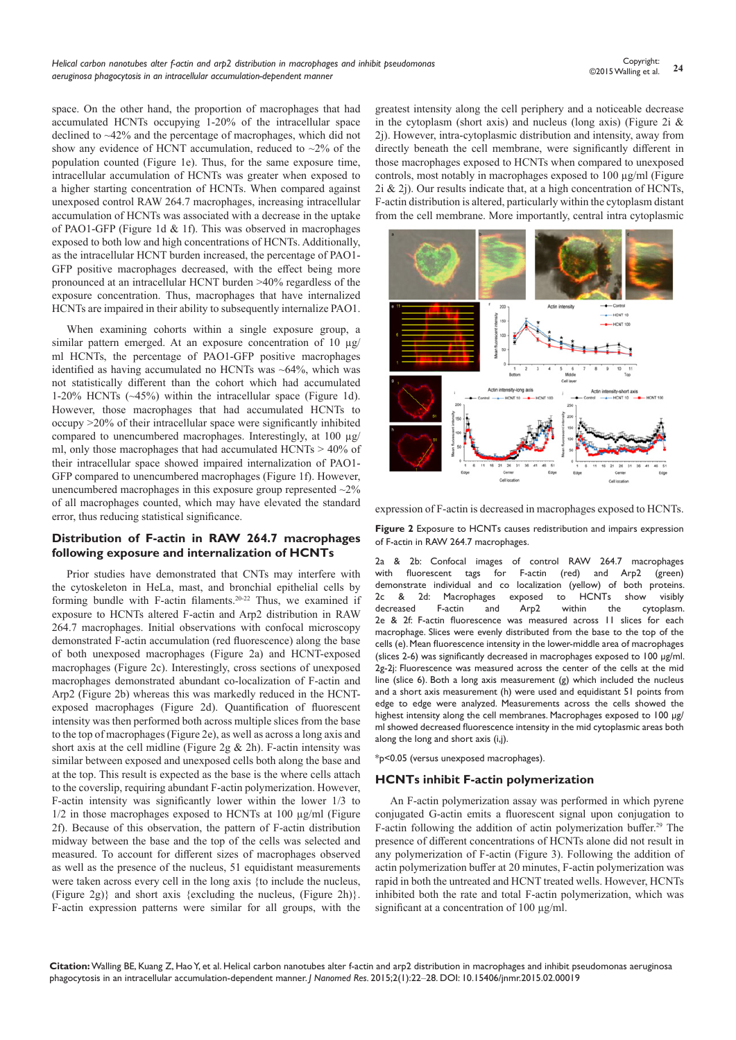space. On the other hand, the proportion of macrophages that had accumulated HCNTs occupying 1-20% of the intracellular space declined to ~42% and the percentage of macrophages, which did not show any evidence of HCNT accumulation, reduced to  $\sim$ 2% of the population counted (Figure 1e). Thus, for the same exposure time, intracellular accumulation of HCNTs was greater when exposed to a higher starting concentration of HCNTs. When compared against unexposed control RAW 264.7 macrophages, increasing intracellular accumulation of HCNTs was associated with a decrease in the uptake of PAO1-GFP (Figure 1d & 1f). This was observed in macrophages exposed to both low and high concentrations of HCNTs. Additionally, as the intracellular HCNT burden increased, the percentage of PAO1- GFP positive macrophages decreased, with the effect being more pronounced at an intracellular HCNT burden >40% regardless of the exposure concentration. Thus, macrophages that have internalized HCNTs are impaired in their ability to subsequently internalize PAO1.

When examining cohorts within a single exposure group, a similar pattern emerged. At an exposure concentration of 10  $\mu$ g/ ml HCNTs, the percentage of PAO1-GFP positive macrophages identified as having accumulated no HCNTs was ~64%, which was not statistically different than the cohort which had accumulated 1-20% HCNTs (~45%) within the intracellular space (Figure 1d). However, those macrophages that had accumulated HCNTs to occupy >20% of their intracellular space were significantly inhibited compared to unencumbered macrophages. Interestingly, at 100 µg/ ml, only those macrophages that had accumulated HCNTs > 40% of their intracellular space showed impaired internalization of PAO1- GFP compared to unencumbered macrophages (Figure 1f). However, unencumbered macrophages in this exposure group represented  $\sim$ 2% of all macrophages counted, which may have elevated the standard error, thus reducing statistical significance.

#### **Distribution of F-actin in RAW 264.7 macrophages following exposure and internalization of HCNTs**

Prior studies have demonstrated that CNTs may interfere with the cytoskeleton in HeLa, mast, and bronchial epithelial cells by forming bundle with F-actin filaments.20-22 Thus, we examined if exposure to HCNTs altered F-actin and Arp2 distribution in RAW 264.7 macrophages. Initial observations with confocal microscopy demonstrated F-actin accumulation (red fluorescence) along the base of both unexposed macrophages (Figure 2a) and HCNT-exposed macrophages (Figure 2c). Interestingly, cross sections of unexposed macrophages demonstrated abundant co-localization of F-actin and Arp2 (Figure 2b) whereas this was markedly reduced in the HCNTexposed macrophages (Figure 2d). Quantification of fluorescent intensity was then performed both across multiple slices from the base to the top of macrophages (Figure 2e), as well as across a long axis and short axis at the cell midline (Figure 2g & 2h). F-actin intensity was similar between exposed and unexposed cells both along the base and at the top. This result is expected as the base is the where cells attach to the coverslip, requiring abundant F-actin polymerization. However, F-actin intensity was significantly lower within the lower 1/3 to 1/2 in those macrophages exposed to HCNTs at 100 µg/ml (Figure 2f). Because of this observation, the pattern of F-actin distribution midway between the base and the top of the cells was selected and measured. To account for different sizes of macrophages observed as well as the presence of the nucleus, 51 equidistant measurements were taken across every cell in the long axis {to include the nucleus, (Figure 2g)} and short axis {excluding the nucleus, (Figure 2h)}. F-actin expression patterns were similar for all groups, with the

greatest intensity along the cell periphery and a noticeable decrease in the cytoplasm (short axis) and nucleus (long axis) (Figure 2i  $\&$ 2j). However, intra-cytoplasmic distribution and intensity, away from directly beneath the cell membrane, were significantly different in those macrophages exposed to HCNTs when compared to unexposed controls, most notably in macrophages exposed to 100 µg/ml (Figure 2i & 2j). Our results indicate that, at a high concentration of HCNTs, F-actin distribution is altered, particularly within the cytoplasm distant from the cell membrane. More importantly, central intra cytoplasmic



expression of F-actin is decreased in macrophages exposed to HCNTs.

**Figure 2** Exposure to HCNTs causes redistribution and impairs expression of F-actin in RAW 264.7 macrophages.

2a & 2b: Confocal images of control RAW 264.7 macrophages<br>with fluorescent tags for F-actin (red) and Arp2 (green) with fluorescent tags for F-actin (red) and Arp2 (green) demonstrate individual and co localization (yellow) of both proteins. 2c & 2d: Macrophages exposed to HCNTs show visibly decreased F-actin and Arp2 within the cytoplasm. 2e & 2f: F-actin fluorescence was measured across 11 slices for each macrophage. Slices were evenly distributed from the base to the top of the cells (e). Mean fluorescence intensity in the lower-middle area of macrophages (slices 2-6) was significantly decreased in macrophages exposed to 100 µg/ml. 2g-2j: Fluorescence was measured across the center of the cells at the mid line (slice 6). Both a long axis measurement (g) which included the nucleus and a short axis measurement (h) were used and equidistant 51 points from edge to edge were analyzed. Measurements across the cells showed the highest intensity along the cell membranes. Macrophages exposed to 100 µg/ ml showed decreased fluorescence intensity in the mid cytoplasmic areas both along the long and short axis (i,j).

\*p<0.05 (versus unexposed macrophages).

#### **HCNTs inhibit F-actin polymerization**

An F-actin polymerization assay was performed in which pyrene conjugated G-actin emits a fluorescent signal upon conjugation to F-actin following the addition of actin polymerization buffer.<sup>29</sup> The presence of different concentrations of HCNTs alone did not result in any polymerization of F-actin (Figure 3). Following the addition of actin polymerization buffer at 20 minutes, F-actin polymerization was rapid in both the untreated and HCNT treated wells. However, HCNTs inhibited both the rate and total F-actin polymerization, which was significant at a concentration of 100  $\mu$ g/ml.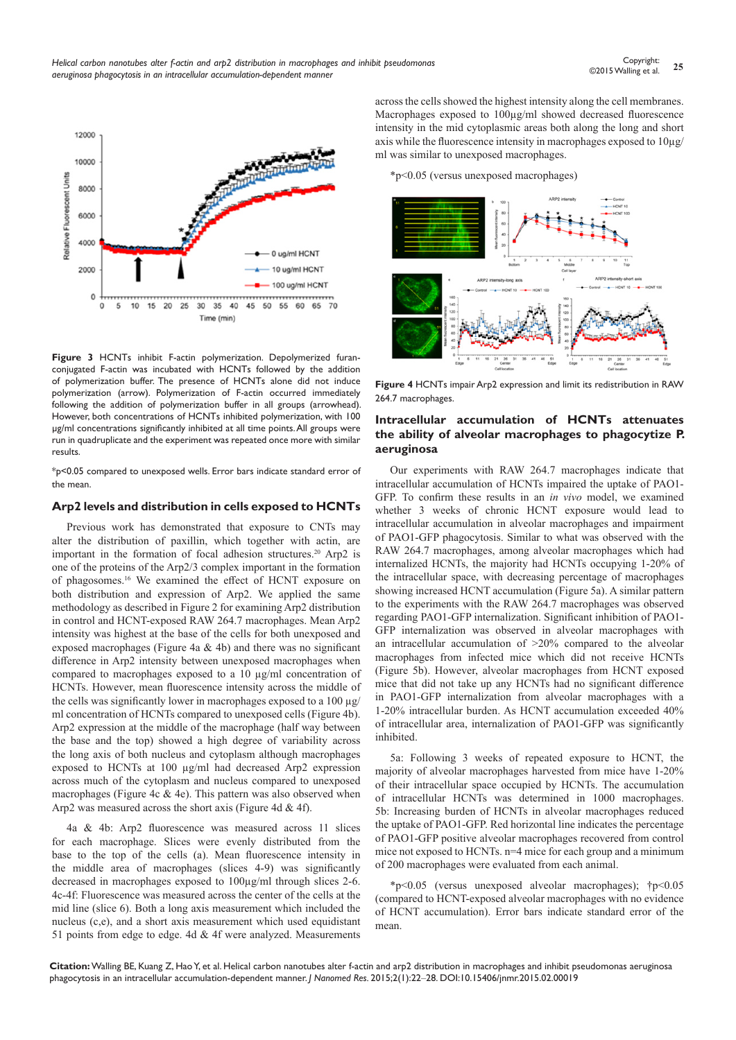

**Figure 3** HCNTs inhibit F-actin polymerization. Depolymerized furanconjugated F-actin was incubated with HCNTs followed by the addition of polymerization buffer. The presence of HCNTs alone did not induce polymerization (arrow). Polymerization of F-actin occurred immediately following the addition of polymerization buffer in all groups (arrowhead). However, both concentrations of HCNTs inhibited polymerization, with 100 µg/ml concentrations significantly inhibited at all time points. All groups were run in quadruplicate and the experiment was repeated once more with similar results.

\*p<0.05 compared to unexposed wells. Error bars indicate standard error of the mean.

#### **Arp2 levels and distribution in cells exposed to HCNTs**

Previous work has demonstrated that exposure to CNTs may alter the distribution of paxillin, which together with actin, are important in the formation of focal adhesion structures.<sup>20</sup> Arp2 is one of the proteins of the Arp2/3 complex important in the formation of phagosomes.16 We examined the effect of HCNT exposure on both distribution and expression of Arp2. We applied the same methodology as described in Figure 2 for examining Arp2 distribution in control and HCNT-exposed RAW 264.7 macrophages. Mean Arp2 intensity was highest at the base of the cells for both unexposed and exposed macrophages (Figure 4a & 4b) and there was no significant difference in Arp2 intensity between unexposed macrophages when compared to macrophages exposed to a 10 µg/ml concentration of HCNTs. However, mean fluorescence intensity across the middle of the cells was significantly lower in macrophages exposed to a 100 µg/ ml concentration of HCNTs compared to unexposed cells (Figure 4b). Arp2 expression at the middle of the macrophage (half way between the base and the top) showed a high degree of variability across the long axis of both nucleus and cytoplasm although macrophages exposed to HCNTs at 100 µg/ml had decreased Arp2 expression across much of the cytoplasm and nucleus compared to unexposed macrophages (Figure 4c & 4e). This pattern was also observed when Arp2 was measured across the short axis (Figure 4d & 4f).

4a & 4b: Arp2 fluorescence was measured across 11 slices for each macrophage. Slices were evenly distributed from the base to the top of the cells (a). Mean fluorescence intensity in the middle area of macrophages (slices 4-9) was significantly decreased in macrophages exposed to 100µg/ml through slices 2-6. 4c-4f: Fluorescence was measured across the center of the cells at the mid line (slice 6). Both a long axis measurement which included the nucleus (c,e), and a short axis measurement which used equidistant 51 points from edge to edge. 4d & 4f were analyzed. Measurements

across the cells showed the highest intensity along the cell membranes. Macrophages exposed to 100µg/ml showed decreased fluorescence intensity in the mid cytoplasmic areas both along the long and short axis while the fluorescence intensity in macrophages exposed to 10µg/ ml was similar to unexposed macrophages.

\*p<0.05 (versus unexposed macrophages)



**Figure 4** HCNTs impair Arp2 expression and limit its redistribution in RAW 264.7 macrophages.

### **Intracellular accumulation of HCNTs attenuates the ability of alveolar macrophages to phagocytize P. aeruginosa**

Our experiments with RAW 264.7 macrophages indicate that intracellular accumulation of HCNTs impaired the uptake of PAO1- GFP. To confirm these results in an *in vivo* model, we examined whether 3 weeks of chronic HCNT exposure would lead to intracellular accumulation in alveolar macrophages and impairment of PAO1-GFP phagocytosis. Similar to what was observed with the RAW 264.7 macrophages, among alveolar macrophages which had internalized HCNTs, the majority had HCNTs occupying 1-20% of the intracellular space, with decreasing percentage of macrophages showing increased HCNT accumulation (Figure 5a). A similar pattern to the experiments with the RAW 264.7 macrophages was observed regarding PAO1-GFP internalization. Significant inhibition of PAO1- GFP internalization was observed in alveolar macrophages with an intracellular accumulation of >20% compared to the alveolar macrophages from infected mice which did not receive HCNTs (Figure 5b). However, alveolar macrophages from HCNT exposed mice that did not take up any HCNTs had no significant difference in PAO1-GFP internalization from alveolar macrophages with a 1-20% intracellular burden. As HCNT accumulation exceeded 40% of intracellular area, internalization of PAO1-GFP was significantly inhibited.

5a: Following 3 weeks of repeated exposure to HCNT, the majority of alveolar macrophages harvested from mice have 1-20% of their intracellular space occupied by HCNTs. The accumulation of intracellular HCNTs was determined in 1000 macrophages. 5b: Increasing burden of HCNTs in alveolar macrophages reduced the uptake of PAO1-GFP. Red horizontal line indicates the percentage of PAO1-GFP positive alveolar macrophages recovered from control mice not exposed to HCNTs. n=4 mice for each group and a minimum of 200 macrophages were evaluated from each animal.

\*p<0.05 (versus unexposed alveolar macrophages); †p<0.05 (compared to HCNT-exposed alveolar macrophages with no evidence of HCNT accumulation). Error bars indicate standard error of the mean.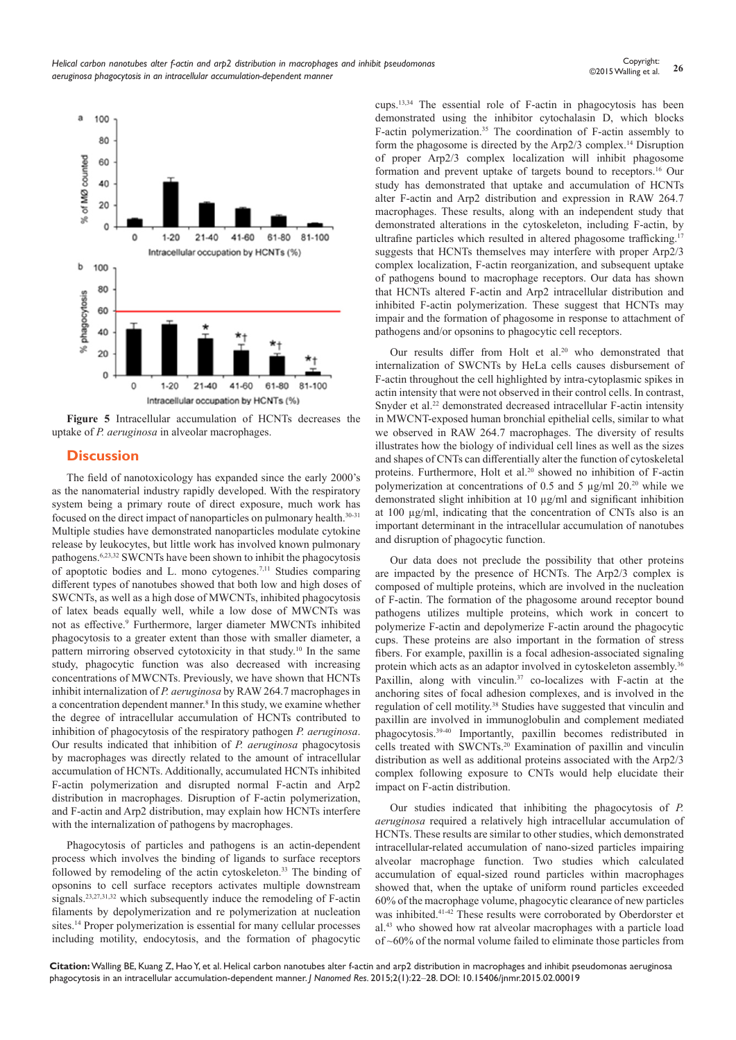

**Figure 5** Intracellular accumulation of HCNTs decreases the uptake of *P. aeruginosa* in alveolar macrophages.

# **Discussion**

The field of nanotoxicology has expanded since the early 2000's as the nanomaterial industry rapidly developed. With the respiratory system being a primary route of direct exposure, much work has focused on the direct impact of nanoparticles on pulmonary health.30-31 Multiple studies have demonstrated nanoparticles modulate cytokine release by leukocytes, but little work has involved known pulmonary pathogens.6,23,32 SWCNTs have been shown to inhibit the phagocytosis of apoptotic bodies and L. mono cytogenes.7,11 Studies comparing different types of nanotubes showed that both low and high doses of SWCNTs, as well as a high dose of MWCNTs, inhibited phagocytosis of latex beads equally well, while a low dose of MWCNTs was not as effective.<sup>9</sup> Furthermore, larger diameter MWCNTs inhibited phagocytosis to a greater extent than those with smaller diameter, a pattern mirroring observed cytotoxicity in that study.<sup>10</sup> In the same study, phagocytic function was also decreased with increasing concentrations of MWCNTs. Previously, we have shown that HCNTs inhibit internalization of *P. aeruginosa* by RAW 264.7 macrophages in a concentration dependent manner.<sup>8</sup> In this study, we examine whether the degree of intracellular accumulation of HCNTs contributed to inhibition of phagocytosis of the respiratory pathogen *P. aeruginosa*. Our results indicated that inhibition of *P. aeruginosa* phagocytosis by macrophages was directly related to the amount of intracellular accumulation of HCNTs. Additionally, accumulated HCNTs inhibited F-actin polymerization and disrupted normal F-actin and Arp2 distribution in macrophages. Disruption of F-actin polymerization, and F-actin and Arp2 distribution, may explain how HCNTs interfere with the internalization of pathogens by macrophages.

Phagocytosis of particles and pathogens is an actin-dependent process which involves the binding of ligands to surface receptors followed by remodeling of the actin cytoskeleton.<sup>33</sup> The binding of opsonins to cell surface receptors activates multiple downstream signals.23,27,31,32 which subsequently induce the remodeling of F-actin filaments by depolymerization and re polymerization at nucleation sites.14 Proper polymerization is essential for many cellular processes including motility, endocytosis, and the formation of phagocytic cups.13,34 The essential role of F-actin in phagocytosis has been demonstrated using the inhibitor cytochalasin D, which blocks F-actin polymerization.<sup>35</sup> The coordination of F-actin assembly to form the phagosome is directed by the Arp2/3 complex.14 Disruption of proper Arp2/3 complex localization will inhibit phagosome formation and prevent uptake of targets bound to receptors.16 Our study has demonstrated that uptake and accumulation of HCNTs alter F-actin and Arp2 distribution and expression in RAW 264.7 macrophages. These results, along with an independent study that demonstrated alterations in the cytoskeleton, including F-actin, by ultrafine particles which resulted in altered phagosome trafficking.<sup>17</sup> suggests that HCNTs themselves may interfere with proper Arp2/3 complex localization, F-actin reorganization, and subsequent uptake of pathogens bound to macrophage receptors. Our data has shown that HCNTs altered F-actin and Arp2 intracellular distribution and inhibited F-actin polymerization. These suggest that HCNTs may impair and the formation of phagosome in response to attachment of pathogens and/or opsonins to phagocytic cell receptors.

Our results differ from Holt et al.<sup>20</sup> who demonstrated that internalization of SWCNTs by HeLa cells causes disbursement of F-actin throughout the cell highlighted by intra-cytoplasmic spikes in actin intensity that were not observed in their control cells. In contrast, Snyder et al.<sup>22</sup> demonstrated decreased intracellular F-actin intensity in MWCNT-exposed human bronchial epithelial cells, similar to what we observed in RAW 264.7 macrophages. The diversity of results illustrates how the biology of individual cell lines as well as the sizes and shapes of CNTs can differentially alter the function of cytoskeletal proteins. Furthermore, Holt et al.<sup>20</sup> showed no inhibition of F-actin polymerization at concentrations of 0.5 and 5  $\mu$ g/ml 20.<sup>20</sup> while we demonstrated slight inhibition at 10 µg/ml and significant inhibition at 100 µg/ml, indicating that the concentration of CNTs also is an important determinant in the intracellular accumulation of nanotubes and disruption of phagocytic function.

Our data does not preclude the possibility that other proteins are impacted by the presence of HCNTs. The Arp2/3 complex is composed of multiple proteins, which are involved in the nucleation of F-actin. The formation of the phagosome around receptor bound pathogens utilizes multiple proteins, which work in concert to polymerize F-actin and depolymerize F-actin around the phagocytic cups. These proteins are also important in the formation of stress fibers. For example, paxillin is a focal adhesion-associated signaling protein which acts as an adaptor involved in cytoskeleton assembly.<sup>36</sup> Paxillin, along with vinculin.<sup>37</sup> co-localizes with F-actin at the anchoring sites of focal adhesion complexes, and is involved in the regulation of cell motility.<sup>38</sup> Studies have suggested that vinculin and paxillin are involved in immunoglobulin and complement mediated phagocytosis.39-40 Importantly, paxillin becomes redistributed in cells treated with SWCNTs.<sup>20</sup> Examination of paxillin and vinculin distribution as well as additional proteins associated with the Arp2/3 complex following exposure to CNTs would help elucidate their impact on F-actin distribution.

Our studies indicated that inhibiting the phagocytosis of *P. aeruginosa* required a relatively high intracellular accumulation of HCNTs. These results are similar to other studies, which demonstrated intracellular-related accumulation of nano-sized particles impairing alveolar macrophage function. Two studies which calculated accumulation of equal-sized round particles within macrophages showed that, when the uptake of uniform round particles exceeded 60% of the macrophage volume, phagocytic clearance of new particles was inhibited.<sup>41-42</sup> These results were corroborated by Oberdorster et al.43 who showed how rat alveolar macrophages with a particle load of ~60% of the normal volume failed to eliminate those particles from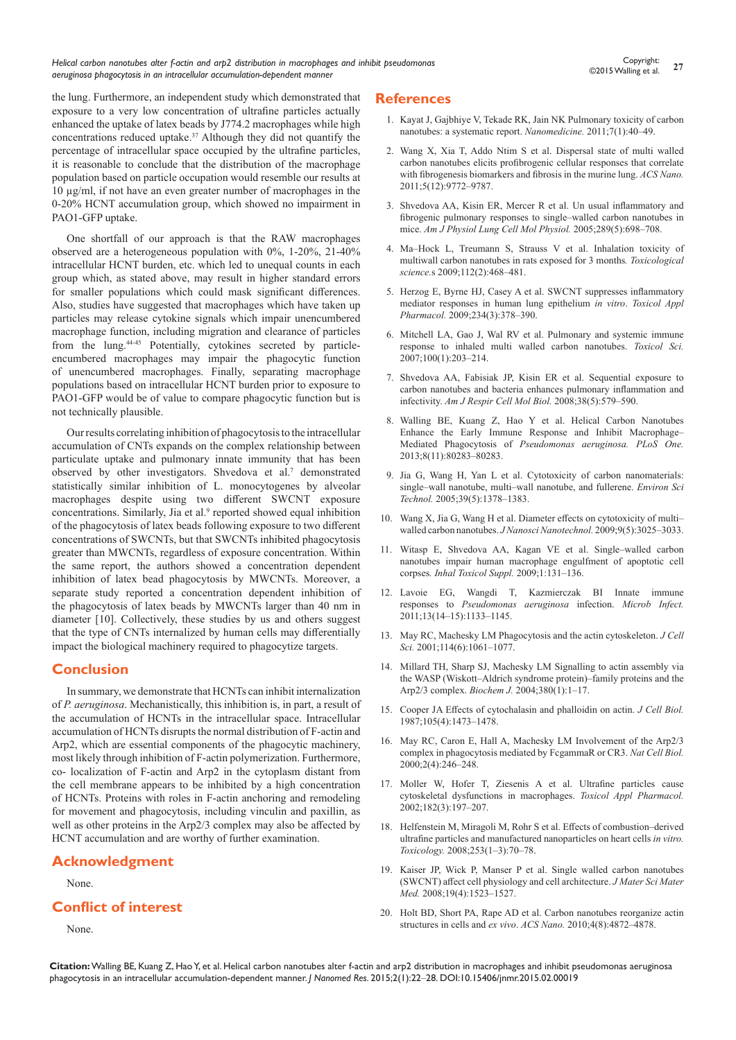*Helical carbon nanotubes alter f-actin and arp2 distribution in macrophages and inhibit pseudomonas aeruginosa phagocytosis in an intracellular accumulation-dependent manner*

the lung. Furthermore, an independent study which demonstrated that exposure to a very low concentration of ultrafine particles actually enhanced the uptake of latex beads by J774.2 macrophages while high concentrations reduced uptake.<sup>37</sup> Although they did not quantify the percentage of intracellular space occupied by the ultrafine particles, it is reasonable to conclude that the distribution of the macrophage population based on particle occupation would resemble our results at 10 µg/ml, if not have an even greater number of macrophages in the 0-20% HCNT accumulation group, which showed no impairment in PAO1-GFP uptake.

One shortfall of our approach is that the RAW macrophages observed are a heterogeneous population with 0%, 1-20%, 21-40% intracellular HCNT burden, etc. which led to unequal counts in each group which, as stated above, may result in higher standard errors for smaller populations which could mask significant differences. Also, studies have suggested that macrophages which have taken up particles may release cytokine signals which impair unencumbered macrophage function, including migration and clearance of particles from the lung.44-45 Potentially, cytokines secreted by particleencumbered macrophages may impair the phagocytic function of unencumbered macrophages. Finally, separating macrophage populations based on intracellular HCNT burden prior to exposure to PAO1-GFP would be of value to compare phagocytic function but is not technically plausible.

Our results correlating inhibition of phagocytosis to the intracellular accumulation of CNTs expands on the complex relationship between particulate uptake and pulmonary innate immunity that has been observed by other investigators. Shvedova et al.<sup>7</sup> demonstrated statistically similar inhibition of L. monocytogenes by alveolar macrophages despite using two different SWCNT exposure concentrations. Similarly, Jia et al.<sup>9</sup> reported showed equal inhibition of the phagocytosis of latex beads following exposure to two different concentrations of SWCNTs, but that SWCNTs inhibited phagocytosis greater than MWCNTs, regardless of exposure concentration. Within the same report, the authors showed a concentration dependent inhibition of latex bead phagocytosis by MWCNTs. Moreover, a separate study reported a concentration dependent inhibition of the phagocytosis of latex beads by MWCNTs larger than 40 nm in diameter [10]. Collectively, these studies by us and others suggest that the type of CNTs internalized by human cells may differentially impact the biological machinery required to phagocytize targets.

# **Conclusion**

In summary, we demonstrate that HCNTs can inhibit internalization of *P. aeruginosa*. Mechanistically, this inhibition is, in part, a result of the accumulation of HCNTs in the intracellular space. Intracellular accumulation of HCNTs disrupts the normal distribution of F-actin and Arp2, which are essential components of the phagocytic machinery, most likely through inhibition of F-actin polymerization. Furthermore, co- localization of F-actin and Arp2 in the cytoplasm distant from the cell membrane appears to be inhibited by a high concentration of HCNTs. Proteins with roles in F-actin anchoring and remodeling for movement and phagocytosis, including vinculin and paxillin, as well as other proteins in the Arp2/3 complex may also be affected by HCNT accumulation and are worthy of further examination.

# **Acknowledgment**

None.

# **Conflict of interest**

None.

## **References**

- 1. [Kayat J, Gajbhiye V, Tekade RK, Jain NK Pulmonary toxicity of carbon](http://www.ncbi.nlm.nih.gov/pubmed/20620235)  [nanotubes: a systematic report.](http://www.ncbi.nlm.nih.gov/pubmed/20620235) *Nanomedicine*. 2011;7(1):40-49.
- 2. [Wang X, Xia T, Addo Ntim S et al. Dispersal state of multi walled](http://www.ncbi.nlm.nih.gov/pubmed/22047207)  [carbon nanotubes elicits profibrogenic cellular responses that correlate](http://www.ncbi.nlm.nih.gov/pubmed/22047207)  [with fibrogenesis biomarkers and fibrosis in the murine lung.](http://www.ncbi.nlm.nih.gov/pubmed/22047207) *ACS Nano.* [2011;5\(12\):9772‒9787.](http://www.ncbi.nlm.nih.gov/pubmed/22047207)
- 3. [Shvedova AA, Kisin ER, Mercer R et al. Un usual inflammatory and](http://www.ncbi.nlm.nih.gov/pubmed/15951334)  fibrogenic pulmonary responses to single-walled carbon nanotubes in mice. [Am J Physiol Lung Cell Mol Physiol.](http://www.ncbi.nlm.nih.gov/pubmed/15951334) 2005;289(5):698-708.
- 4. Ma-Hock L, Treumann S, Strauss V et al. Inhalation toxicity of [multiwall carbon nanotubes in rats exposed for 3 months](http://www.ncbi.nlm.nih.gov/pubmed/19584127)*. Toxicological science.*[s 2009;112\(2\):468‒481.](http://www.ncbi.nlm.nih.gov/pubmed/19584127)
- 5. [Herzog E, Byrne HJ, Casey A et al. SWCNT suppresses inflammatory](http://www.ncbi.nlm.nih.gov/pubmed/19041333)  [mediator responses in human lung epithelium](http://www.ncbi.nlm.nih.gov/pubmed/19041333) *in vitro*. *Toxicol Appl Pharmacol.* [2009;234\(3\):378‒390.](http://www.ncbi.nlm.nih.gov/pubmed/19041333)
- 6. [Mitchell LA, Gao J, Wal RV et al. Pulmonary and systemic immune](http://www.ncbi.nlm.nih.gov/pubmed/17660506)  [response to inhaled multi walled carbon nanotubes.](http://www.ncbi.nlm.nih.gov/pubmed/17660506) *Toxicol Sci.* [2007;100\(1\):203‒214.](http://www.ncbi.nlm.nih.gov/pubmed/17660506)
- 7. [Shvedova AA, Fabisiak JP, Kisin ER et al. Sequential exposure to](http://www.ncbi.nlm.nih.gov/pubmed/18096873)  [carbon nanotubes and bacteria enhances pulmonary inflammation and](http://www.ncbi.nlm.nih.gov/pubmed/18096873)  infectivity. *[Am J Respir Cell Mol Biol.](http://www.ncbi.nlm.nih.gov/pubmed/18096873)* 2008;38(5):579‒590.
- 8. [Walling BE, Kuang Z, Hao Y et al. Helical Carbon Nanotubes](http://journals.plos.org/plosone/article?id=10.1371/journal.pone.0080283)  Enhance the Early Immune Response and Inhibit Macrophage-Mediated Phagocytosis of *[Pseudomonas aeruginosa. PLoS One.](http://journals.plos.org/plosone/article?id=10.1371/journal.pone.0080283)* [2013;8\(11\):80283‒80283.](http://journals.plos.org/plosone/article?id=10.1371/journal.pone.0080283)
- 9. [Jia G, Wang H, Yan L et al. Cytotoxicity of carbon nanomaterials:](http://www.ncbi.nlm.nih.gov/pubmed/15787380)  single-wall nanotube, multi-wall nanotube, and fullerene. *Environ Sci Technol.* [2005;39\(5\):1378‒1383.](http://www.ncbi.nlm.nih.gov/pubmed/15787380)
- 10. Wang X, Jia G, Wang H et al. Diameter effects on cytotoxicity of multi[walled carbon nanotubes.](http://www.ncbi.nlm.nih.gov/pubmed/19452965) *J Nanosci Nanotechnol*. 2009;9(5):3025-3033.
- 11. Witasp E, Shvedova AA, Kagan VE et al. Single-walled carbon [nanotubes impair human macrophage engulfment of apoptotic cell](http://www.ncbi.nlm.nih.gov/pubmed/19558245)  corpses[. Inhal Toxicol Suppl.](http://www.ncbi.nlm.nih.gov/pubmed/19558245) 2009;1:131-136.
- 12. [Lavoie EG, Wangdi T, Kazmierczak BI Innate immune](http://www.ncbi.nlm.nih.gov/pubmed/21839853)  responses to *[Pseudomonas aeruginosa](http://www.ncbi.nlm.nih.gov/pubmed/21839853)* infection. *Microb Infect.* [2011;13\(14‒15\):1133‒1145.](http://www.ncbi.nlm.nih.gov/pubmed/21839853)
- 13. [May RC, Machesky LM Phagocytosis and the actin cytoskeleton.](http://www.ncbi.nlm.nih.gov/pubmed/11228151) *J Cell*  Sci. 2001;114(6):1061-1077.
- 14. [Millard TH, Sharp SJ, Machesky LM Signalling to actin assembly via](http://www.ncbi.nlm.nih.gov/pubmed/15040784)  the WASP (Wiskott-Aldrich syndrome protein)-family proteins and the Arp2/3 complex. *Biochem J.* 2004;380(1):1-17.
- 15. [Cooper JA Effects of cytochalasin and phalloidin on actin.](http://www.ncbi.nlm.nih.gov/pubmed/3312229/) *J Cell Biol.* [1987;105\(4\):1473‒1478.](http://www.ncbi.nlm.nih.gov/pubmed/3312229/)
- 16. [May RC, Caron E, Hall A, Machesky LM Involvement of the Arp2/3](http://www.ncbi.nlm.nih.gov/pubmed/10783245)  [complex in phagocytosis mediated by FcgammaR or CR3.](http://www.ncbi.nlm.nih.gov/pubmed/10783245) *Nat Cell Biol.* [2000;2\(4\):246‒248.](http://www.ncbi.nlm.nih.gov/pubmed/10783245)
- 17. [Moller W, Hofer T, Ziesenis A et al. Ultrafine particles cause](http://www.ncbi.nlm.nih.gov/pubmed/12183099)  [cytoskeletal dysfunctions in macrophages.](http://www.ncbi.nlm.nih.gov/pubmed/12183099) *Toxicol Appl Pharmacol.* [2002;182\(3\):197‒207.](http://www.ncbi.nlm.nih.gov/pubmed/12183099)
- 18. Helfenstein M, Miragoli M, Rohr S et al. Effects of combustion-derived [ultrafine particles and manufactured nanoparticles on heart cells](http://www.ncbi.nlm.nih.gov/pubmed/18824210) *in vitro. Toxicology.* [2008;253\(1‒3\):70‒78.](http://www.ncbi.nlm.nih.gov/pubmed/18824210)
- 19. [Kaiser JP, Wick P, Manser P et al. Single walled carbon nanotubes](http://www.ncbi.nlm.nih.gov/pubmed/17990080)  [\(SWCNT\) affect cell physiology and cell architecture.](http://www.ncbi.nlm.nih.gov/pubmed/17990080) *J Mater Sci Mater Med.* 2008;19(4):1523-1527.
- 20. [Holt BD, Short PA, Rape AD et al. Carbon nanotubes reorganize actin](http://www.ncbi.nlm.nih.gov/pubmed/20669976)  structures in cells and *ex vivo*. *ACS Nano.* [2010;4\(8\):4872‒4878.](http://www.ncbi.nlm.nih.gov/pubmed/20669976)

**Citation:** Walling BE, Kuang Z, Hao Y, et al. Helical carbon nanotubes alter f-actin and arp2 distribution in macrophages and inhibit pseudomonas aeruginosa phagocytosis in an intracellular accumulation-dependent manner. *J Nanomed Res.* 2015;2(1):22‒28. DOI[:10.15406/jnmr.2015.02.00019](https://doi.org/10.15406/jnmr.2015.02.00019)